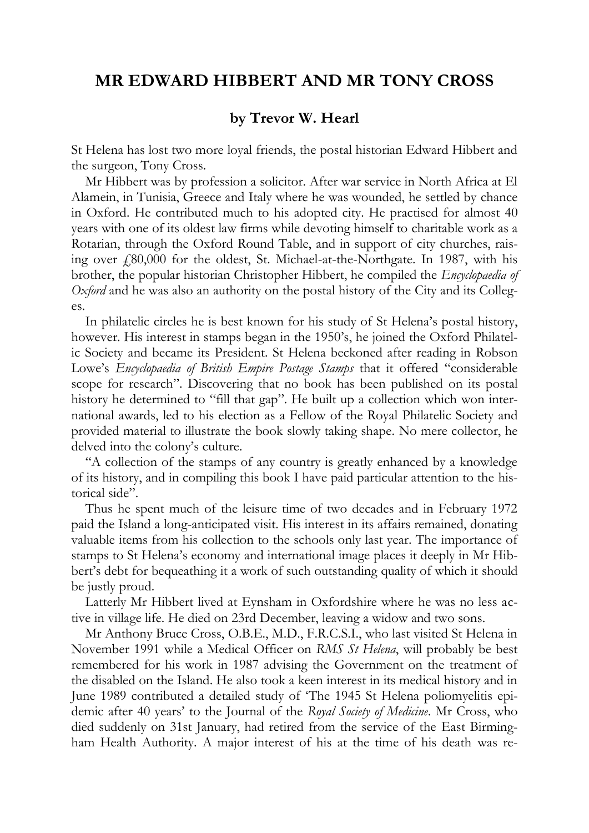## **MR EDWARD HIBBERT AND MR TONY CROSS**

## **by Trevor W. Hearl**

St Helena has lost two more loyal friends, the postal historian Edward Hibbert and the surgeon, Tony Cross.

Mr Hibbert was by profession a solicitor. After war service in North Africa at El Alamein, in Tunisia, Greece and Italy where he was wounded, he settled by chance in Oxford. He contributed much to his adopted city. He practised for almost 40 years with one of its oldest law firms while devoting himself to charitable work as a Rotarian, through the Oxford Round Table, and in support of city churches, raising over  $\ell$ 80,000 for the oldest, St. Michael-at-the-Northgate. In 1987, with his brother, the popular historian Christopher Hibbert, he compiled the *Encyclopaedia of Oxford* and he was also an authority on the postal history of the City and its Colleges.

In philatelic circles he is best known for his study of St Helena's postal history, however. His interest in stamps began in the 1950's, he joined the Oxford Philatelic Society and became its President. St Helena beckoned after reading in Robson Lowe's *Encyclopaedia of British Empire Postage Stamps* that it offered "considerable scope for research". Discovering that no book has been published on its postal history he determined to "fill that gap". He built up a collection which won international awards, led to his election as a Fellow of the Royal Philatelic Society and provided material to illustrate the book slowly taking shape. No mere collector, he delved into the colony's culture.

"A collection of the stamps of any country is greatly enhanced by a knowledge of its history, and in compiling this book I have paid particular attention to the historical side".

Thus he spent much of the leisure time of two decades and in February 1972 paid the Island a long-anticipated visit. His interest in its affairs remained, donating valuable items from his collection to the schools only last year. The importance of stamps to St Helena's economy and international image places it deeply in Mr Hibbert's debt for bequeathing it a work of such outstanding quality of which it should be justly proud.

Latterly Mr Hibbert lived at Eynsham in Oxfordshire where he was no less active in village life. He died on 23rd December, leaving a widow and two sons.

Mr Anthony Bruce Cross, O.B.E., M.D., F.R.C.S.I., who last visited St Helena in November 1991 while a Medical Officer on *RMS St Helena*, will probably be best remembered for his work in 1987 advising the Government on the treatment of the disabled on the Island. He also took a keen interest in its medical history and in June 1989 contributed a detailed study of 'The 1945 St Helena poliomyelitis epidemic after 40 years' to the Journal of the *Royal Society of Medicine*. Mr Cross, who died suddenly on 31st January, had retired from the service of the East Birmingham Health Authority. A major interest of his at the time of his death was re